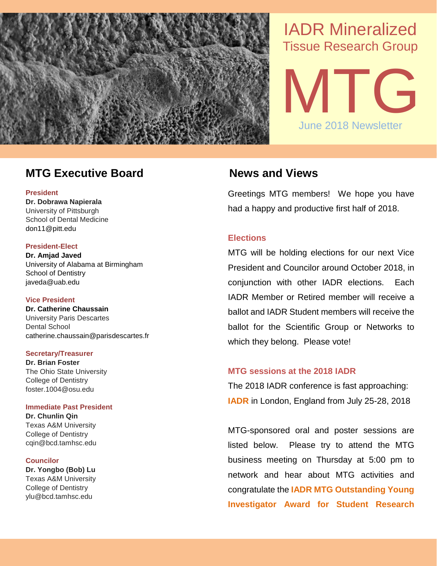

# IADR Mineralized Tissue Research Group



# **MTG Executive Board News and Views**

## **President**

**Dr. Dobrawa Napierala** University of Pittsburgh School of Dental Medicine don11@pitt.edu

# **President-Elect**

**Dr. Amjad Javed** University of Alabama at Birmingham School of Dentistry javeda@uab.edu

# **Vice President**

**Dr. Catherine Chaussain** University Paris Descartes Dental School catherine.chaussain@parisdescartes.fr

# **Secretary/Treasurer**

**Dr. Brian Foster** The Ohio State University College of Dentistry foster.1004@osu.edu

# **Immediate Past President**

**Dr. Chunlin Qin** Texas A&M University College of Dentistry cqin@bcd.tamhsc.edu

# **Councilor**

**Dr. Yongbo (Bob) Lu** Texas A&M University College of Dentistry ylu@bcd.tamhsc.edu

Greetings MTG members! We hope you have had a happy and productive first half of 2018.

# **Elections**

MTG will be holding elections for our next Vice President and Councilor around October 2018, in conjunction with other IADR elections. Each IADR Member or Retired member will receive a ballot and IADR Student members will receive the ballot for the Scientific Group or Networks to which they belong. Please vote!

# **MTG sessions at the 2018 IADR**

The 2018 IADR conference is fast approaching: **IADR** in London, England from July 25-28, 2018

MTG-sponsored oral and poster sessions are listed below. Please try to attend the MTG business meeting on Thursday at 5:00 pm to network and hear about MTG activities and congratulate the **IADR MTG Outstanding Young Investigator Award for Student Research**